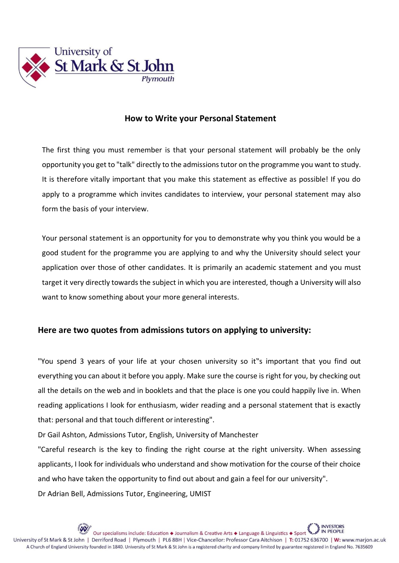

## **How to Write your Personal Statement**

The first thing you must remember is that your personal statement will probably be the only opportunity you get to "talk" directly to the admissions tutor on the programme you want to study. It is therefore vitally important that you make this statement as effective as possible! If you do apply to a programme which invites candidates to interview, your personal statement may also form the basis of your interview.

Your personal statement is an opportunity for you to demonstrate why you think you would be a good student for the programme you are applying to and why the University should select your application over those of other candidates. It is primarily an academic statement and you must target it very directly towards the subject in which you are interested, though a University will also want to know something about your more general interests.

## **Here are two quotes from admissions tutors on applying to university:**

"You spend 3 years of your life at your chosen university so it"s important that you find out everything you can about it before you apply. Make sure the course is right for you, by checking out all the details on the web and in booklets and that the place is one you could happily live in. When reading applications I look for enthusiasm, wider reading and a personal statement that is exactly that: personal and that touch different or interesting".

Dr Gail Ashton, Admissions Tutor, English, University of Manchester

"Careful research is the key to finding the right course at the right university. When assessing applicants, I look for individuals who understand and show motivation for the course of their choice and who have taken the opportunity to find out about and gain a feel for our university". Dr Adrian Bell, Admissions Tutor, Engineering, UMIST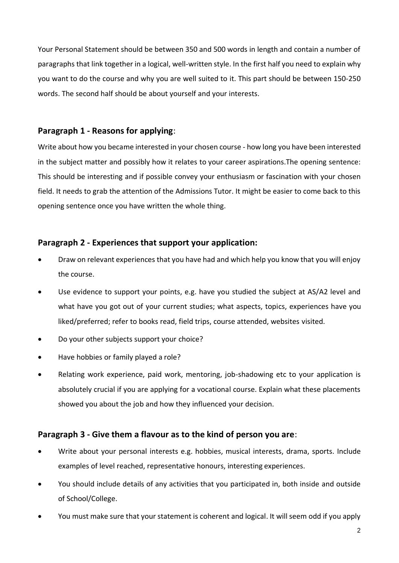Your Personal Statement should be between 350 and 500 words in length and contain a number of paragraphs that link together in a logical, well-written style. In the first half you need to explain why you want to do the course and why you are well suited to it. This part should be between 150-250 words. The second half should be about yourself and your interests.

## **Paragraph 1 - Reasons for applying**:

Write about how you became interested in your chosen course - how long you have been interested in the subject matter and possibly how it relates to your career aspirations.The opening sentence: This should be interesting and if possible convey your enthusiasm or fascination with your chosen field. It needs to grab the attention of the Admissions Tutor. It might be easier to come back to this opening sentence once you have written the whole thing.

## **Paragraph 2 - Experiences that support your application:**

- Draw on relevant experiences that you have had and which help you know that you will enjoy the course.
- Use evidence to support your points, e.g. have you studied the subject at AS/A2 level and what have you got out of your current studies; what aspects, topics, experiences have you liked/preferred; refer to books read, field trips, course attended, websites visited.
- Do your other subjects support your choice?
- Have hobbies or family played a role?
- Relating work experience, paid work, mentoring, job-shadowing etc to your application is absolutely crucial if you are applying for a vocational course. Explain what these placements showed you about the job and how they influenced your decision.

## **Paragraph 3 - Give them a flavour as to the kind of person you are**:

- Write about your personal interests e.g. hobbies, musical interests, drama, sports. Include examples of level reached, representative honours, interesting experiences.
- You should include details of any activities that you participated in, both inside and outside of School/College.
- You must make sure that your statement is coherent and logical. It will seem odd if you apply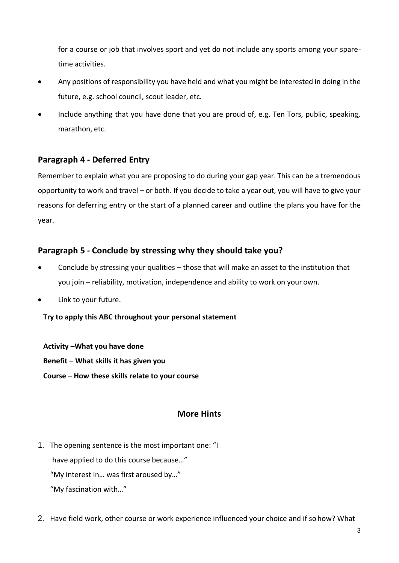for a course or job that involves sport and yet do not include any sports among your sparetime activities.

- Any positions of responsibility you have held and what you might be interested in doing in the future, e.g. school council, scout leader, etc.
- Include anything that you have done that you are proud of, e.g. Ten Tors, public, speaking, marathon, etc.

# **Paragraph 4 - Deferred Entry**

Remember to explain what you are proposing to do during your gap year. This can be a tremendous opportunity to work and travel – or both. If you decide to take a year out, you will have to give your reasons for deferring entry or the start of a planned career and outline the plans you have for the year.

## **Paragraph 5 - Conclude by stressing why they should take you?**

- Conclude by stressing your qualities those that will make an asset to the institution that you join – reliability, motivation, independence and ability to work on your own.
- Link to your future.

### **Try to apply this ABC throughout your personal statement**

**Activity –What you have done Benefit – What skills it has given you Course – How these skills relate to your course**

## **More Hints**

1. The opening sentence is the most important one: "I

have applied to do this course because…"

"My interest in… was first aroused by…"

- "My fascination with…"
- 2. Have field work, other course or work experience influenced your choice and if sohow? What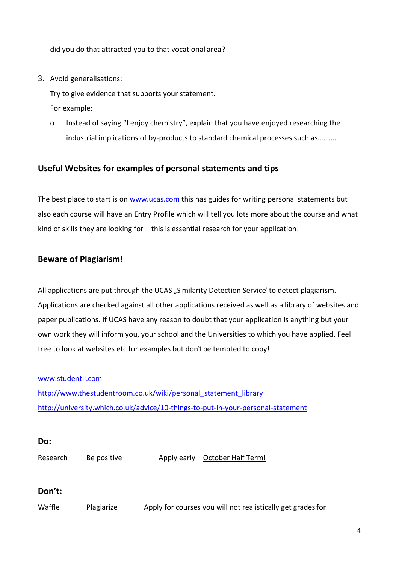did you do that attracted you to that vocational area?

3. Avoid generalisations:

Try to give evidence that supports your statement. For example:

o Instead of saying "I enjoy chemistry", explain that you have enjoyed researching the industrial implications of by-products to standard chemical processes such as……….

## **Useful Websites for examples of personal statements and tips**

The best place to start is on [www.ucas.com](http://www.ucas.com/) this has guides for writing personal statements but also each course will have an Entry Profile which will tell you lots more about the course and what kind of skills they are looking for – this is essential research for your application!

## **Beware of Plagiarism!**

All applications are put through the UCAS "Similarity Detection Service' to detect plagiarism. Applications are checked against all other applications received as well as a library of websites and paper publications. If UCAS have any reason to doubt that your application is anything but your own work they will inform you, your school and the Universities to which you have applied. Feel free to look at websites etc for examples but don"<sup>t</sup> be tempted to copy!

[www.studentil.com](http://www.studentil.com/) [http://www.thestudentroom.co.uk/wiki/personal\\_statement\\_library](http://www.thestudentroom.co.uk/wiki/personal_statement_library) <http://university.which.co.uk/advice/10-things-to-put-in-your-personal-statement>

#### **Do:**

Research Be positive Apply early – October Half Term!

## **Don't:**

Waffle Plagiarize Apply for courses you will not realistically get grades for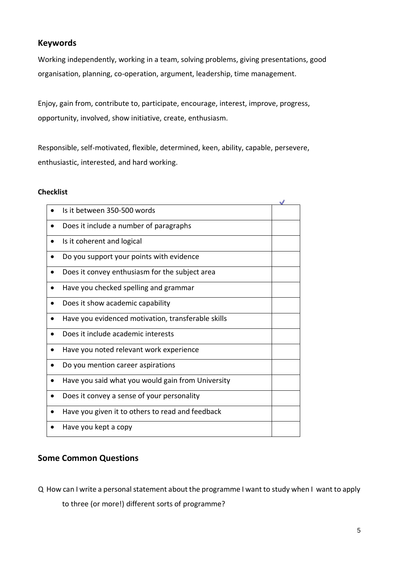## **Keywords**

Working independently, working in a team, solving problems, giving presentations, good organisation, planning, co-operation, argument, leadership, time management.

Enjoy, gain from, contribute to, participate, encourage, interest, improve, progress, opportunity, involved, show initiative, create, enthusiasm.

Responsible, self-motivated, flexible, determined, keen, ability, capable, persevere, enthusiastic, interested, and hard working.

#### **Checklist**

| Is it between 350-500 words                        |  |
|----------------------------------------------------|--|
| Does it include a number of paragraphs             |  |
| Is it coherent and logical                         |  |
| Do you support your points with evidence           |  |
| Does it convey enthusiasm for the subject area     |  |
| Have you checked spelling and grammar              |  |
| Does it show academic capability                   |  |
| Have you evidenced motivation, transferable skills |  |
| Does it include academic interests                 |  |
| Have you noted relevant work experience            |  |
| Do you mention career aspirations                  |  |
| Have you said what you would gain from University  |  |
| Does it convey a sense of your personality         |  |
| Have you given it to others to read and feedback   |  |
| Have you kept a copy                               |  |

## **Some Common Questions**

Q How can I write a personal statement about the programme I want to study when I want to apply

to three (or more!) different sorts of programme?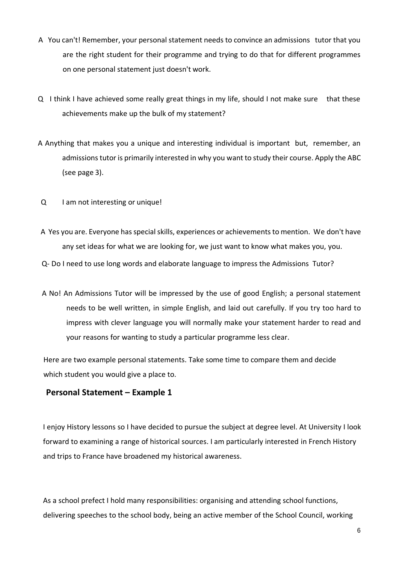- A You can't! Remember, your personal statement needs to convince an admissions tutor that you are the right student for their programme and trying to do that for different programmes on one personal statement just doesn't work.
- Q I think I have achieved some really great things in my life, should I not make sure that these achievements make up the bulk of my statement?
- A Anything that makes you a unique and interesting individual is important but, remember, an admissions tutor is primarily interested in why you want to study their course. Apply the ABC (see page 3).
- Q I am not interesting or unique!
- A Yes you are. Everyone has special skills, experiences or achievements to mention. We don't have any set ideas for what we are looking for, we just want to know what makes you, you.

Q- Do I need to use long words and elaborate language to impress the Admissions Tutor?

A No! An Admissions Tutor will be impressed by the use of good English; a personal statement needs to be well written, in simple English, and laid out carefully. If you try too hard to impress with clever language you will normally make your statement harder to read and your reasons for wanting to study a particular programme less clear.

Here are two example personal statements. Take some time to compare them and decide which student you would give a place to.

### **Personal Statement – Example 1**

I enjoy History lessons so I have decided to pursue the subject at degree level. At University I look forward to examining a range of historical sources. I am particularly interested in French History and trips to France have broadened my historical awareness.

As a school prefect I hold many responsibilities: organising and attending school functions, delivering speeches to the school body, being an active member of the School Council, working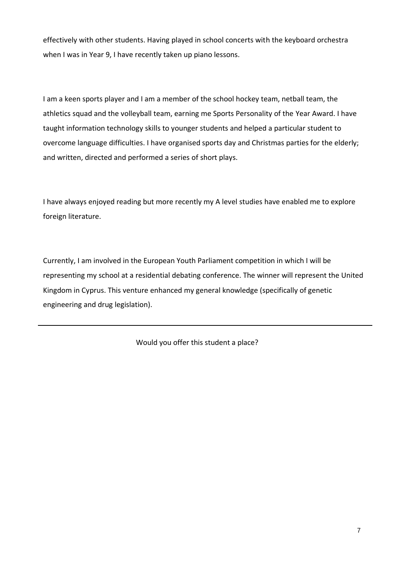effectively with other students. Having played in school concerts with the keyboard orchestra when I was in Year 9, I have recently taken up piano lessons.

I am a keen sports player and I am a member of the school hockey team, netball team, the athletics squad and the volleyball team, earning me Sports Personality of the Year Award. I have taught information technology skills to younger students and helped a particular student to overcome language difficulties. I have organised sports day and Christmas parties for the elderly; and written, directed and performed a series of short plays.

I have always enjoyed reading but more recently my A level studies have enabled me to explore foreign literature.

Currently, I am involved in the European Youth Parliament competition in which I will be representing my school at a residential debating conference. The winner will represent the United Kingdom in Cyprus. This venture enhanced my general knowledge (specifically of genetic engineering and drug legislation).

Would you offer this student a place?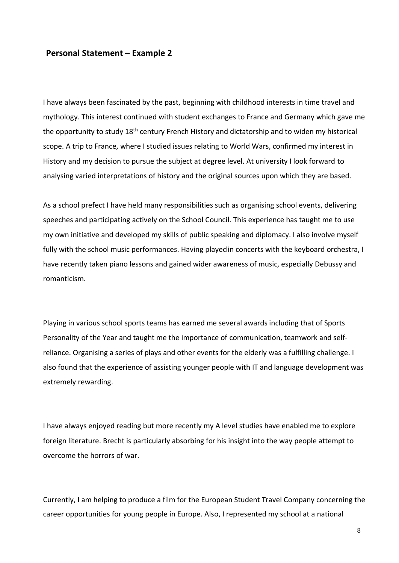#### **Personal Statement – Example 2**

I have always been fascinated by the past, beginning with childhood interests in time travel and mythology. This interest continued with student exchanges to France and Germany which gave me the opportunity to study 18<sup>th</sup> century French History and dictatorship and to widen my historical scope. A trip to France, where I studied issues relating to World Wars, confirmed my interest in History and my decision to pursue the subject at degree level. At university I look forward to analysing varied interpretations of history and the original sources upon which they are based.

As a school prefect I have held many responsibilities such as organising school events, delivering speeches and participating actively on the School Council. This experience has taught me to use my own initiative and developed my skills of public speaking and diplomacy. I also involve myself fully with the school music performances. Having playedin concerts with the keyboard orchestra, I have recently taken piano lessons and gained wider awareness of music, especially Debussy and romanticism.

Playing in various school sports teams has earned me several awards including that of Sports Personality of the Year and taught me the importance of communication, teamwork and selfreliance. Organising a series of plays and other events for the elderly was a fulfilling challenge. I also found that the experience of assisting younger people with IT and language development was extremely rewarding.

I have always enjoyed reading but more recently my A level studies have enabled me to explore foreign literature. Brecht is particularly absorbing for his insight into the way people attempt to overcome the horrors of war.

Currently, I am helping to produce a film for the European Student Travel Company concerning the career opportunities for young people in Europe. Also, I represented my school at a national

8